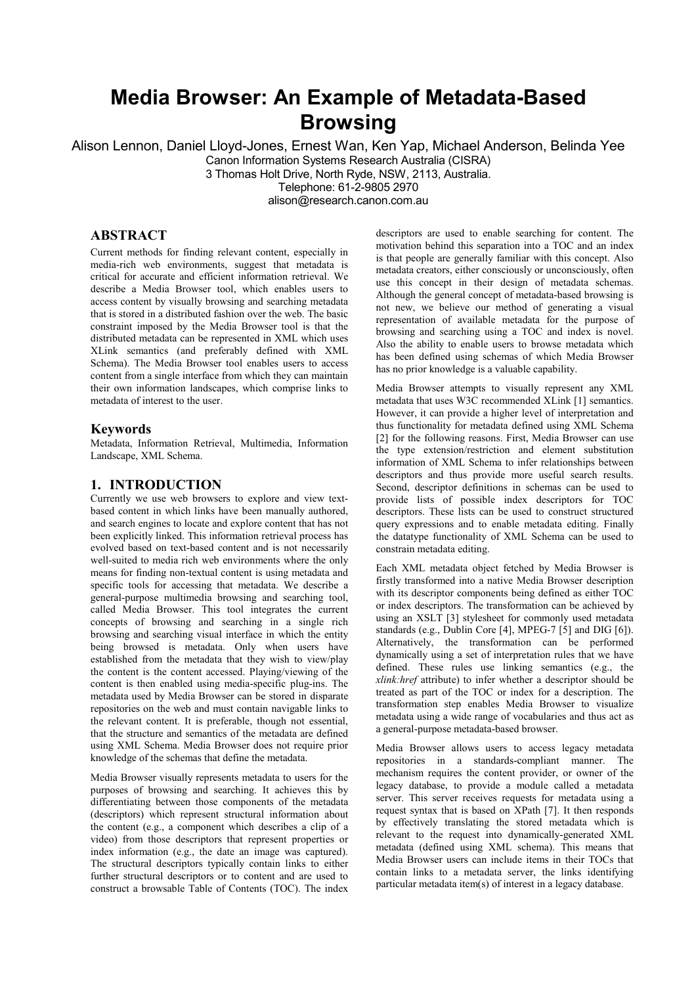# **Media Browser: An Example of Metadata-Based Browsing**

Alison Lennon, Daniel Lloyd-Jones, Ernest Wan, Ken Yap, Michael Anderson, Belinda Yee Canon Information Systems Research Australia (CISRA) 3 Thomas Holt Drive, North Ryde, NSW, 2113, Australia. Telephone: 61-2-9805 2970 alison@research.canon.com.au

## **ABSTRACT**

Current methods for finding relevant content, especially in media-rich web environments, suggest that metadata is critical for accurate and efficient information retrieval. We describe a Media Browser tool, which enables users to access content by visually browsing and searching metadata that is stored in a distributed fashion over the web. The basic constraint imposed by the Media Browser tool is that the distributed metadata can be represented in XML which uses XLink semantics (and preferably defined with XML Schema). The Media Browser tool enables users to access content from a single interface from which they can maintain their own information landscapes, which comprise links to metadata of interest to the user.

#### **Keywords**

Metadata, Information Retrieval, Multimedia, Information Landscape, XML Schema.

#### **1. INTRODUCTION**

Currently we use web browsers to explore and view textbased content in which links have been manually authored, and search engines to locate and explore content that has not been explicitly linked. This information retrieval process has evolved based on text-based content and is not necessarily well-suited to media rich web environments where the only means for finding non-textual content is using metadata and specific tools for accessing that metadata. We describe a general-purpose multimedia browsing and searching tool, called Media Browser. This tool integrates the current concepts of browsing and searching in a single rich browsing and searching visual interface in which the entity being browsed is metadata. Only when users have established from the metadata that they wish to view/play the content is the content accessed. Playing/viewing of the content is then enabled using media-specific plug-ins. The metadata used by Media Browser can be stored in disparate repositories on the web and must contain navigable links to the relevant content. It is preferable, though not essential, that the structure and semantics of the metadata are defined using XML Schema. Media Browser does not require prior knowledge of the schemas that define the metadata.

Media Browser visually represents metadata to users for the purposes of browsing and searching. It achieves this by differentiating between those components of the metadata (descriptors) which represent structural information about the content (e.g., a component which describes a clip of a video) from those descriptors that represent properties or index information (e.g., the date an image was captured). The structural descriptors typically contain links to either further structural descriptors or to content and are used to construct a browsable Table of Contents (TOC). The index

descriptors are used to enable searching for content. The motivation behind this separation into a TOC and an index is that people are generally familiar with this concept. Also metadata creators, either consciously or unconsciously, often use this concept in their design of metadata schemas. Although the general concept of metadata-based browsing is not new, we believe our method of generating a visual representation of available metadata for the purpose of browsing and searching using a TOC and index is novel. Also the ability to enable users to browse metadata which has been defined using schemas of which Media Browser has no prior knowledge is a valuable capability.

Media Browser attempts to visually represent any XML metadata that uses W3C recommended XLink [1] semantics. However, it can provide a higher level of interpretation and thus functionality for metadata defined using XML Schema [2] for the following reasons. First, Media Browser can use the type extension/restriction and element substitution information of XML Schema to infer relationships between descriptors and thus provide more useful search results. Second, descriptor definitions in schemas can be used to provide lists of possible index descriptors for TOC descriptors. These lists can be used to construct structured query expressions and to enable metadata editing. Finally the datatype functionality of XML Schema can be used to constrain metadata editing.

Each XML metadata object fetched by Media Browser is firstly transformed into a native Media Browser description with its descriptor components being defined as either TOC or index descriptors. The transformation can be achieved by using an XSLT [3] stylesheet for commonly used metadata standards (e.g., Dublin Core [4], MPEG-7 [5] and DIG [6]). Alternatively, the transformation can be performed dynamically using a set of interpretation rules that we have defined. These rules use linking semantics (e.g., the *xlink:href* attribute) to infer whether a descriptor should be treated as part of the TOC or index for a description. The transformation step enables Media Browser to visualize metadata using a wide range of vocabularies and thus act as a general-purpose metadata-based browser.

Media Browser allows users to access legacy metadata repositories in a standards-compliant manner. The mechanism requires the content provider, or owner of the legacy database, to provide a module called a metadata server. This server receives requests for metadata using a request syntax that is based on XPath [7]. It then responds by effectively translating the stored metadata which is relevant to the request into dynamically-generated XML metadata (defined using XML schema). This means that Media Browser users can include items in their TOCs that contain links to a metadata server, the links identifying particular metadata item(s) of interest in a legacy database.